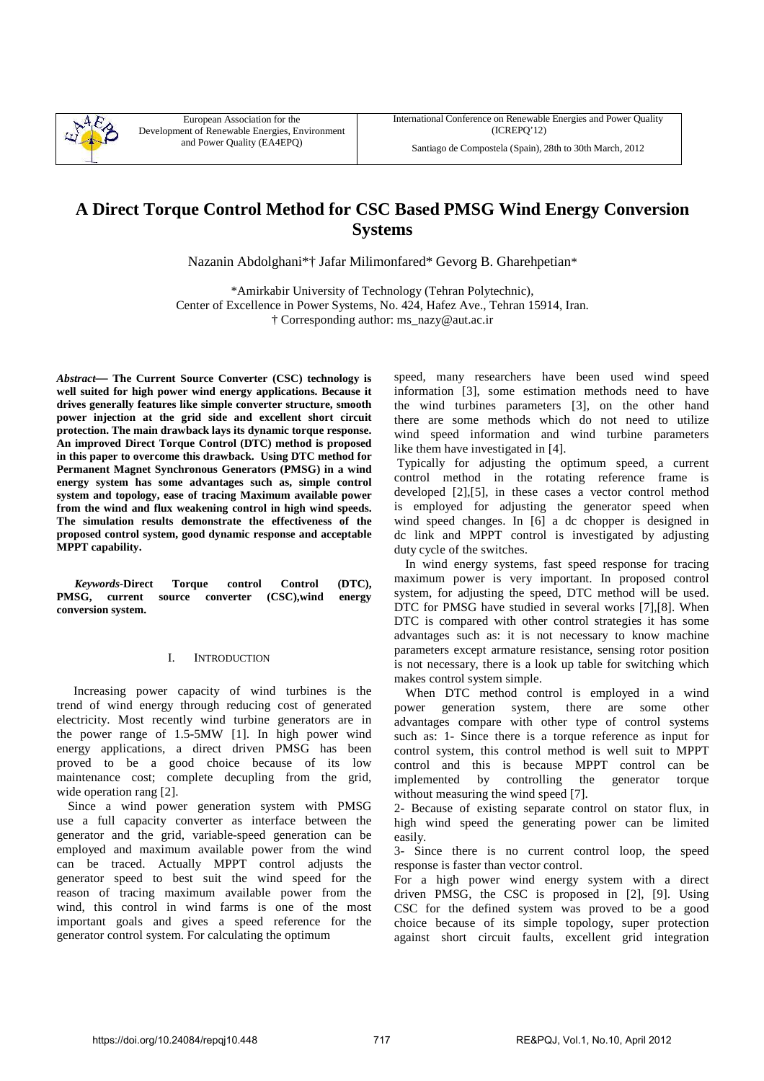

European Association for the Development of Renewable Energies, Environment and Power Quality (EA4EPQ)

Santiago de Compostela (Spain), 28th to 30th March, 2012

# **A Direct Torque Control Method for CSC Based PMSG Wind Energy Conversion Systems**

Nazanin Abdolghani\*† Jafar Milimonfared\* Gevorg B. Gharehpetian\*

\*Amirkabir University of Technology (Tehran Polytechnic), Center of Excellence in Power Systems, No. 424, Hafez Ave., Tehran 15914, Iran. † Corresponding author: ms\_nazy@aut.ac.ir

*Abstract—* **The Current Source Converter (CSC) technology is well suited for high power wind energy applications. Because it drives generally features like simple converter structure, smooth power injection at the grid side and excellent short circuit protection. The main drawback lays its dynamic torque response. An improved Direct Torque Control (DTC) method is proposed in this paper to overcome this drawback. Using DTC method for Permanent Magnet Synchronous Generators (PMSG) in a wind energy system has some advantages such as, simple control system and topology, ease of tracing Maximum available power from the wind and flux weakening control in high wind speeds. The simulation results demonstrate the effectiveness of the proposed control system, good dynamic response and acceptable MPPT capability.** 

*Keywords-***Direct Torque control Control (DTC), PMSG, current source converter (CSC),wind energy conversion system.** 

# I. INTRODUCTION

Increasing power capacity of wind turbines is the trend of wind energy through reducing cost of generated electricity. Most recently wind turbine generators are in the power range of 1.5-5MW [1]. In high power wind energy applications, a direct driven PMSG has been proved to be a good choice because of its low maintenance cost; complete decupling from the grid, wide operation rang [2].

Since a wind power generation system with PMSG use a full capacity converter as interface between the generator and the grid, variable-speed generation can be employed and maximum available power from the wind can be traced. Actually MPPT control adjusts the generator speed to best suit the wind speed for the reason of tracing maximum available power from the wind, this control in wind farms is one of the most important goals and gives a speed reference for the generator control system. For calculating the optimum

speed, many researchers have been used wind speed information [3], some estimation methods need to have the wind turbines parameters [3], on the other hand there are some methods which do not need to utilize wind speed information and wind turbine parameters like them have investigated in [4].

 Typically for adjusting the optimum speed, a current control method in the rotating reference frame is developed [2],[5], in these cases a vector control method is employed for adjusting the generator speed when wind speed changes. In [6] a dc chopper is designed in dc link and MPPT control is investigated by adjusting duty cycle of the switches.

In wind energy systems, fast speed response for tracing maximum power is very important. In proposed control system, for adjusting the speed, DTC method will be used. DTC for PMSG have studied in several works [7],[8]. When DTC is compared with other control strategies it has some advantages such as: it is not necessary to know machine parameters except armature resistance, sensing rotor position is not necessary, there is a look up table for switching which makes control system simple.

When DTC method control is employed in a wind power generation system, there are some other advantages compare with other type of control systems such as: 1- Since there is a torque reference as input for control system, this control method is well suit to MPPT control and this is because MPPT control can be implemented by controlling the generator torque without measuring the wind speed [7].

2- Because of existing separate control on stator flux, in high wind speed the generating power can be limited easily.

3- Since there is no current control loop, the speed response is faster than vector control.

For a high power wind energy system with a direct driven PMSG, the CSC is proposed in [2], [9]. Using CSC for the defined system was proved to be a good choice because of its simple topology, super protection against short circuit faults, excellent grid integration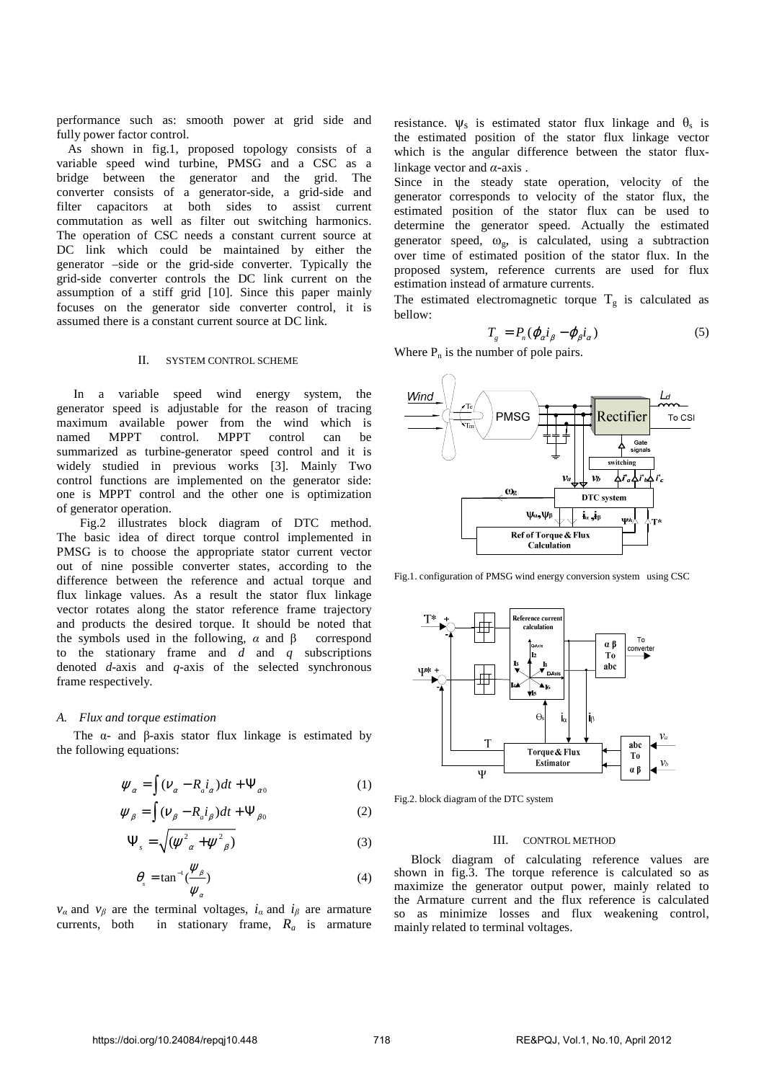performance such as: smooth power at grid side and fully power factor control.

As shown in fig.1, proposed topology consists of a variable speed wind turbine, PMSG and a CSC as a bridge between the generator and the grid. The converter consists of a generator-side, a grid-side and filter capacitors at both sides to assist current commutation as well as filter out switching harmonics. The operation of CSC needs a constant current source at DC link which could be maintained by either the generator –side or the grid-side converter. Typically the grid-side converter controls the DC link current on the assumption of a stiff grid [10]. Since this paper mainly focuses on the generator side converter control, it is assumed there is a constant current source at DC link.

#### II. SYSTEM CONTROL SCHEME

In a variable speed wind energy system, the generator speed is adjustable for the reason of tracing maximum available power from the wind which is named MPPT control. MPPT control can be summarized as turbine-generator speed control and it is widely studied in previous works [3]. Mainly Two control functions are implemented on the generator side: one is MPPT control and the other one is optimization of generator operation.

 Fig.2 illustrates block diagram of DTC method. The basic idea of direct torque control implemented in PMSG is to choose the appropriate stator current vector out of nine possible converter states, according to the difference between the reference and actual torque and flux linkage values. As a result the stator flux linkage vector rotates along the stator reference frame trajectory and products the desired torque. It should be noted that the symbols used in the following,  $\alpha$  and  $\beta$  correspond to the stationary frame and *d* and *q* subscriptions denoted *d*-axis and *q*-axis of the selected synchronous frame respectively.

## *A. Flux and torque estimation*

The  $\alpha$ - and  $\beta$ -axis stator flux linkage is estimated by the following equations:

$$
\psi_{\alpha} = \int (\nu_{\alpha} - R_{a}i_{\alpha})dt + \Psi_{\alpha 0}
$$
 (1)

$$
\psi_{\beta} = \int (\nu_{\beta} - R_a i_{\beta}) dt + \Psi_{\beta 0}
$$
 (2)

$$
\Psi_s = \sqrt{(\psi^2_{\alpha} + \psi^2_{\beta})} \tag{3}
$$

$$
\theta_{s} = \tan^{-1} \frac{\psi_{\beta}}{\psi_{\alpha}})
$$
\n(4)

*v<sub>a</sub>* and *v<sub>β</sub>* are the terminal voltages,  $i_a$  and  $i_b$  are armature currents, both in stationary frame,  $R_a$  is armature

resistance.  $\psi_s$  is estimated stator flux linkage and  $\theta_s$  is the estimated position of the stator flux linkage vector which is the angular difference between the stator fluxlinkage vector and *α*-axis .

Since in the steady state operation, velocity of the generator corresponds to velocity of the stator flux, the estimated position of the stator flux can be used to determine the generator speed. Actually the estimated generator speed,  $\omega_{\rm g}$ , is calculated, using a subtraction over time of estimated position of the stator flux. In the proposed system, reference currents are used for flux estimation instead of armature currents.

The estimated electromagnetic torque  $T_g$  is calculated as bellow:

$$
T_g = P_n(\varphi_\alpha i_\beta - \varphi_\beta i_\alpha) \tag{5}
$$

Where  $P_n$  is the number of pole pairs.



Fig.1. configuration of PMSG wind energy conversion system using CSC



Fig.2. block diagram of the DTC system

## III. CONTROL METHOD

Block diagram of calculating reference values are shown in fig.3. The torque reference is calculated so as maximize the generator output power, mainly related to the Armature current and the flux reference is calculated so as minimize losses and flux weakening control, mainly related to terminal voltages.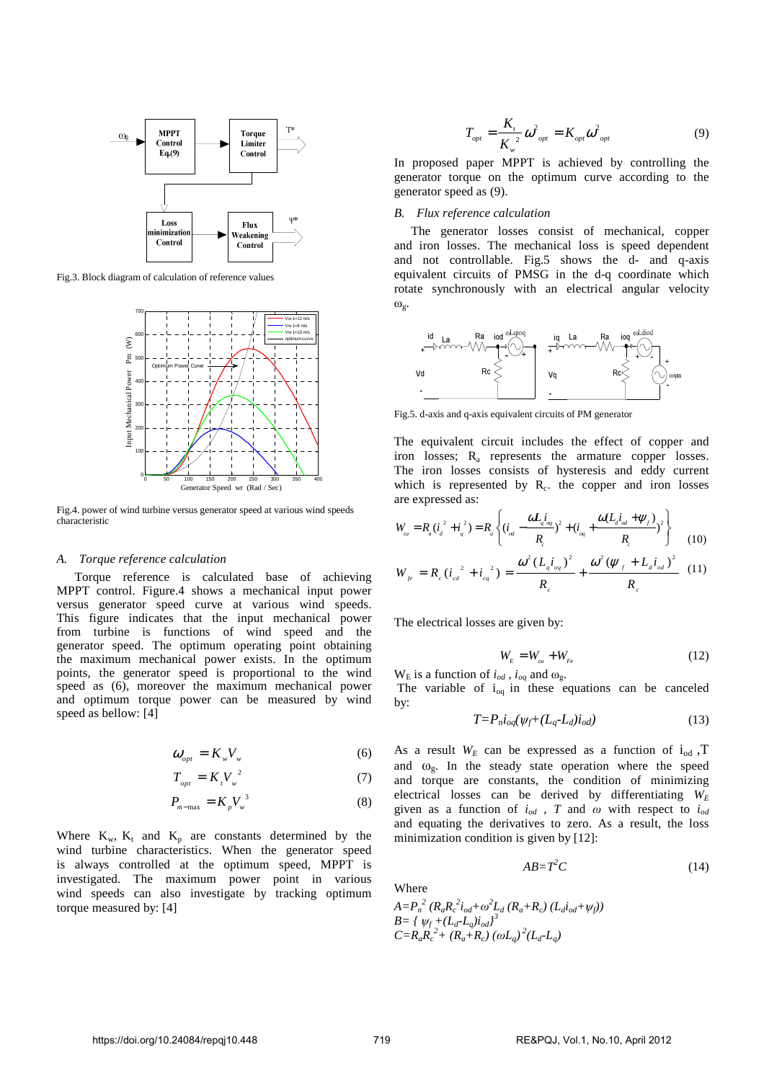

Fig.3. Block diagram of calculation of reference values



Fig.4. power of wind turbine versus generator speed at various wind speeds characteristic

## *A. Torque reference calculation*

Torque reference is calculated base of achieving MPPT control. Figure.4 shows a mechanical input power versus generator speed curve at various wind speeds. This figure indicates that the input mechanical power from turbine is functions of wind speed and the generator speed. The optimum operating point obtaining the maximum mechanical power exists. In the optimum points, the generator speed is proportional to the wind speed as (6), moreover the maximum mechanical power and optimum torque power can be measured by wind speed as bellow: [4]

$$
\omega_{opt} = K_w V_w \tag{6}
$$

$$
T_{opt} = K_{\iota} V_{\nu}^2 \tag{7}
$$

$$
P_{m-\max} = K_p V_w^3 \tag{8}
$$

Where  $K_w$ ,  $K_t$  and  $K_p$  are constants determined by the wind turbine characteristics. When the generator speed is always controlled at the optimum speed, MPPT is investigated. The maximum power point in various wind speeds can also investigate by tracking optimum torque measured by: [4]

$$
T_{opt} = \frac{K_t}{K_w^2} \omega_{opt}^2 = K_{opt} \omega_{opt}^2
$$
 (9)

In proposed paper MPPT is achieved by controlling the generator torque on the optimum curve according to the generator speed as (9).

## *B. Flux reference calculation*

The generator losses consist of mechanical, copper and iron losses. The mechanical loss is speed dependent and not controllable. Fig.5 shows the d- and q-axis equivalent circuits of PMSG in the d-q coordinate which rotate synchronously with an electrical angular velocity  $\omega_{\alpha}$ .



Fig.5. d-axis and q-axis equivalent circuits of PM generator

The equivalent circuit includes the effect of copper and iron losses; R<sub>a</sub> represents the armature copper losses. The iron losses consists of hysteresis and eddy current which is represented by  $R_c$ . the copper and iron losses are expressed as:

$$
W_{\alpha} = R_{a} (i_{d}^{2} + i_{q}^{2}) = R_{a} \left\{ (i_{\alpha} - \frac{\omega L_{q} i_{\alpha q}}{R_{c}})^{2} + (i_{\alpha q} + \frac{\omega (L_{d} i_{\alpha d} + \psi_{f})}{R_{c}})^{2} \right\}
$$
(10)

$$
W_{je} = R_c (i_{cd}^{2} + i_{eq}^{2}) = \frac{\omega^{2} (L_{q} i_{eq})^{2}}{R_c} + \frac{\omega^{2} (\psi_{f} + L_{d} i_{ed})^{2}}{R_c}
$$
 (11)

The electrical losses are given by:

$$
W_{E} = W_{cu} + W_{Fe}
$$
\n<sup>(12)</sup>

 $W<sub>E</sub>$  is a function of  $i_{od}$ ,  $i_{og}$  and  $\omega_{gc}$ .

The variable of  $i_{0q}$  in these equations can be canceled by:

$$
T = P_n i_{oq}(\psi_f + (L_q - L_d)i_{od})
$$
\n<sup>(13)</sup>

As a result  $W_E$  can be expressed as a function of  $i_{od}$ , T and  $\omega_{g}$ . In the steady state operation where the speed and torque are constants, the condition of minimizing electrical losses can be derived by differentiating  $W_E$ given as a function of  $i_{od}$ , T and  $\omega$  with respect to  $i_{od}$ and equating the derivatives to zero. As a result, the loss minimization condition is given by [12]:

$$
AB = T^2 C \tag{14}
$$

Where

$$
A = P_n^2 (R_a R_c^2 i_{od} + \omega^2 L_d (R_a + R_c) (L_d i_{od} + \psi_f))
$$
  
\n
$$
B = \{ \psi_f + (L_d - L_q) i_{od} \}^3
$$
  
\n
$$
C = R_a R_c^2 + (R_a + R_c) (\omega L_q)^2 (L_d - L_q)
$$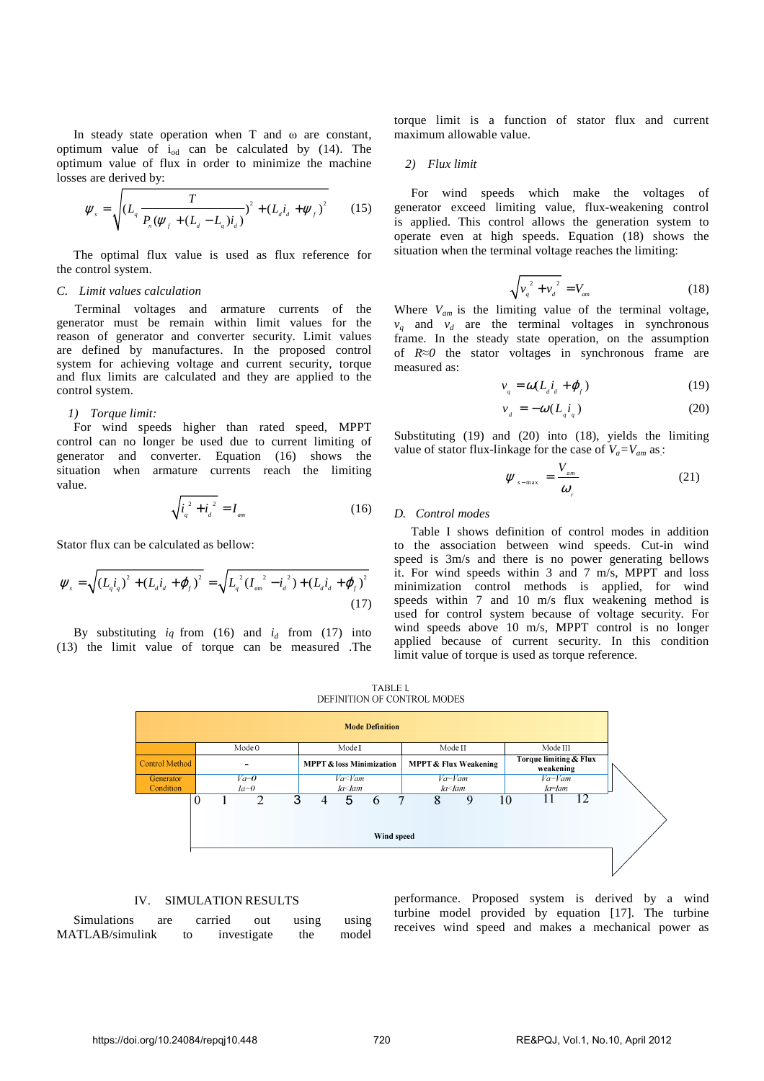In steady state operation when T and  $\omega$  are constant, optimum value of  $i_{od}$  can be calculated by (14). The optimum value of flux in order to minimize the machine losses are derived by:

$$
\Psi_{s} = \sqrt{\left(L_{q} \frac{T}{P_{n}(\psi_{f} + (L_{d} - L_{q})i_{d})}\right)^{2} + \left(L_{d}i_{d} + \psi_{f}\right)^{2}}
$$
(15)

The optimal flux value is used as flux reference for the control system.

# *C. Limit values calculation*

Terminal voltages and armature currents of the generator must be remain within limit values for the reason of generator and converter security. Limit values are defined by manufactures. In the proposed control system for achieving voltage and current security, torque and flux limits are calculated and they are applied to the control system.

## *1) Torque limit:*

For wind speeds higher than rated speed, MPPT control can no longer be used due to current limiting of generator and converter. Equation (16) shows the situation when armature currents reach the limiting value.

$$
\sqrt{\dot{t}_q^2 + \dot{t}_d^2} = I_{\rm am}
$$
 (16)

Stator flux can be calculated as bellow:

$$
\psi_{s} = \sqrt{\left(L_{q q}^{i}\right)^{2} + \left(L_{d q}^{i} + \varphi_{f}\right)^{2}} = \sqrt{L_{q}^{2} \left(L_{am}^{2} - i_{d}^{2}\right) + \left(L_{d}^{i} + \varphi_{f}\right)^{2}}
$$
\n(17)

By substituting  $i_q$  from (16) and  $i_d$  from (17) into (13) the limit value of torque can be measured .The torque limit is a function of stator flux and current maximum allowable value.

#### *2) Flux limit*

For wind speeds which make the voltages of generator exceed limiting value, flux-weakening control is applied. This control allows the generation system to operate even at high speeds. Equation (18) shows the situation when the terminal voltage reaches the limiting:

$$
\sqrt{{v_{q}}^{2}+{v_{d}}^{2}}=V_{_{am}}
$$
 (18)

Where  $V_{am}$  is the limiting value of the terminal voltage,  $v_q$  and  $v_d$  are the terminal voltages in synchronous frame. In the steady state operation, on the assumption of *R≈0* the stator voltages in synchronous frame are measured as:

$$
v_q = \omega (L_d i_d + \varphi_f) \tag{19}
$$

$$
v_{d} = -\omega (L_{q} i_{q}) \tag{20}
$$

Substituting (19) and (20) into (18), yields the limiting value of stator flux-linkage for the case of  $V_a = V_{am}$  as:

$$
\Psi_{s-\max} = \frac{V_{am}}{\omega_r} \tag{21}
$$

# *D. Control modes*

Table I shows definition of control modes in addition to the association between wind speeds. Cut-in wind speed is 3m/s and there is no power generating bellows it. For wind speeds within 3 and 7 m/s, MPPT and loss minimization control methods is applied, for wind speeds within 7 and 10 m/s flux weakening method is used for control system because of voltage security. For wind speeds above 10 m/s, MPPT control is no longer applied because of current security. In this condition limit value of torque is used as torque reference.

TABLE I. DEFINITION OF CONTROL MODES



## IV. SIMULATION RESULTS

Simulations are carried out using using MATLAB/simulink to investigate the model

performance. Proposed system is derived by a wind turbine model provided by equation [17]. The turbine receives wind speed and makes a mechanical power as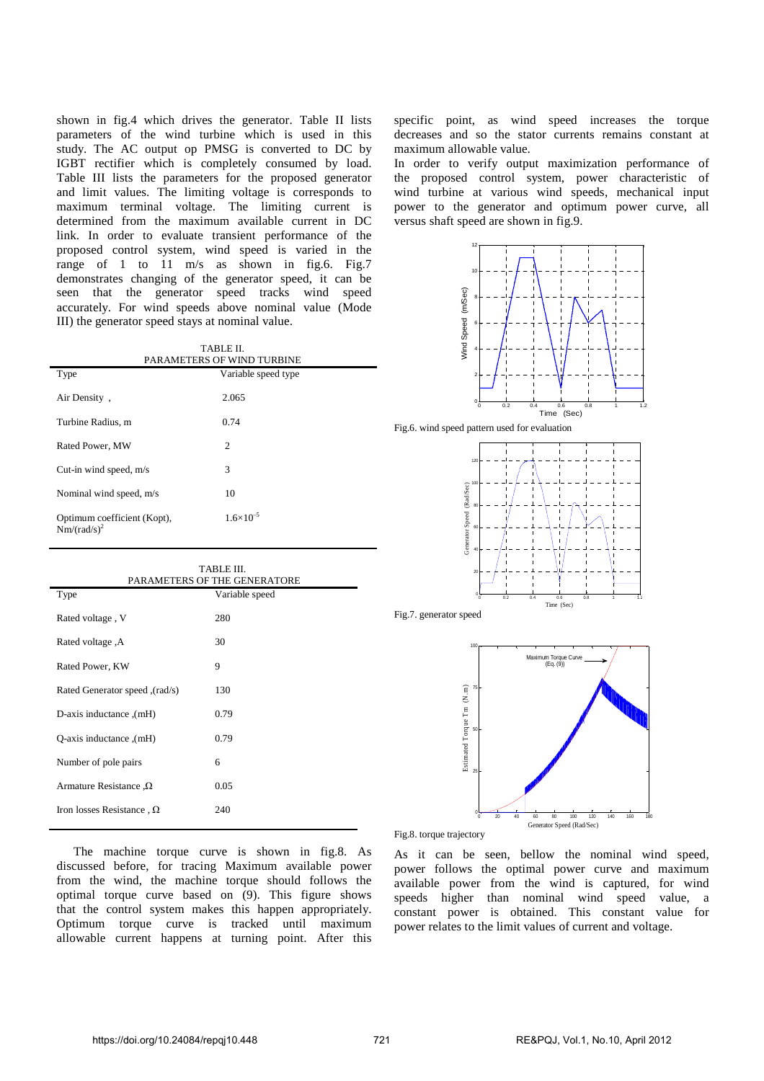shown in fig.4 which drives the generator. Table II lists parameters of the wind turbine which is used in this study. The AC output op PMSG is converted to DC by IGBT rectifier which is completely consumed by load. Table III lists the parameters for the proposed generator and limit values. The limiting voltage is corresponds to maximum terminal voltage. The limiting current is determined from the maximum available current in DC link. In order to evaluate transient performance of the proposed control system, wind speed is varied in the range of 1 to 11 m/s as shown in fig.6. Fig.7 demonstrates changing of the generator speed, it can be seen that the generator speed tracks wind speed accurately. For wind speeds above nominal value (Mode III) the generator speed stays at nominal value.

| TABLE II.<br>PARAMETERS OF WIND TURBINE       |                     |
|-----------------------------------------------|---------------------|
| Type                                          | Variable speed type |
| Air Density,                                  | 2.065               |
| Turbine Radius, m                             | 0.74                |
| Rated Power, MW                               | $\overline{c}$      |
| Cut-in wind speed, m/s                        | 3                   |
| Nominal wind speed, m/s                       | 10                  |
| Optimum coefficient (Kopt),<br>$Nm/(rad/s)^2$ | $1.6\times10^{-5}$  |

| TABLE III.<br>PARAMETERS OF THE GENERATORE |                |
|--------------------------------------------|----------------|
| Type                                       | Variable speed |
| Rated voltage, V                           | 280            |
| A. Rated voltage                           | 30             |
| Rated Power, KW                            | 9              |
| (rad/s), Rated Generator speed             | 130            |
| (mH), D-axis inductance                    | 0.79           |
| (mH). O-axis inductance                    | 0.79           |
| Number of pole pairs                       | 6              |
| Armature Resistance $\Omega$               | 0.05           |
| Iron losses Resistance, $\Omega$           | 240            |

The machine torque curve is shown in fig.8. As discussed before, for tracing Maximum available power from the wind, the machine torque should follows the optimal torque curve based on (9). This figure shows that the control system makes this happen appropriately. Optimum torque curve is tracked until maximum allowable current happens at turning point. After this

specific point, as wind speed increases the torque decreases and so the stator currents remains constant at maximum allowable value.

In order to verify output maximization performance of the proposed control system, power characteristic of wind turbine at various wind speeds, mechanical input power to the generator and optimum power curve, all versus shaft speed are shown in fig.9.



Fig.8. torque trajectory

As it can be seen, bellow the nominal wind speed, power follows the optimal power curve and maximum available power from the wind is captured, for wind speeds higher than nominal wind speed value, a constant power is obtained. This constant value for power relates to the limit values of current and voltage.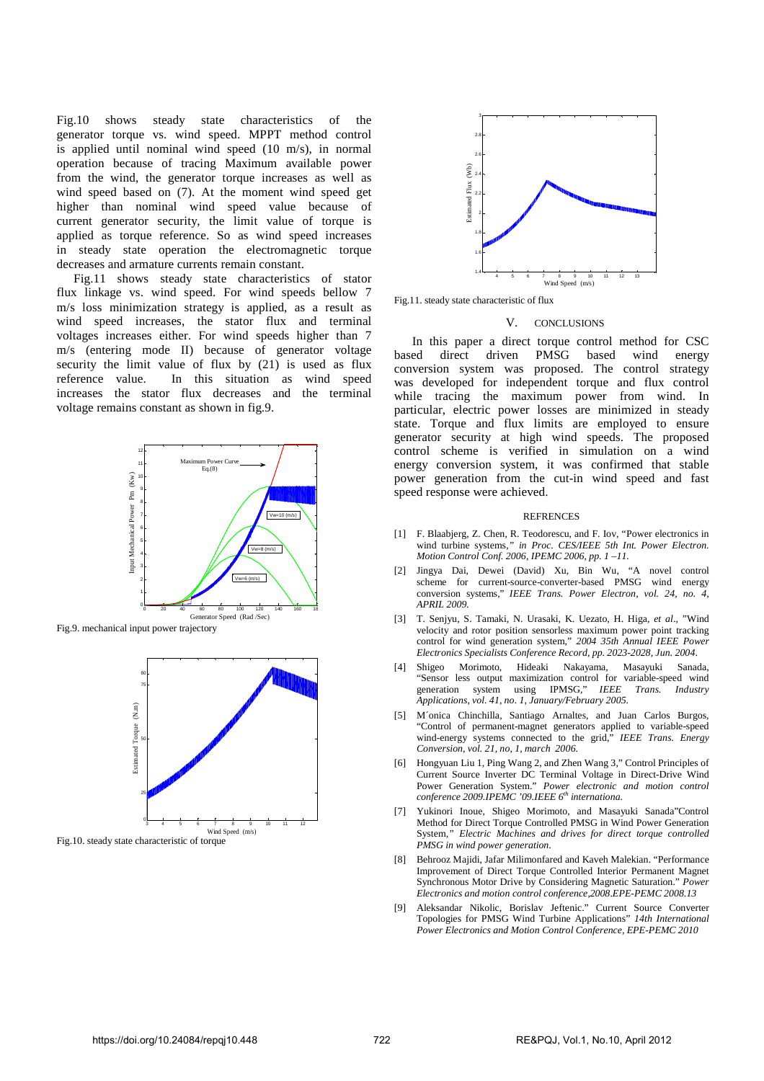Fig.10 shows steady state characteristics of the generator torque vs. wind speed. MPPT method control is applied until nominal wind speed (10 m/s), in normal operation because of tracing Maximum available power from the wind, the generator torque increases as well as wind speed based on (7). At the moment wind speed get higher than nominal wind speed value because of current generator security, the limit value of torque is applied as torque reference. So as wind speed increases in steady state operation the electromagnetic torque decreases and armature currents remain constant.

Fig.11 shows steady state characteristics of stator flux linkage vs. wind speed. For wind speeds bellow 7 m/s loss minimization strategy is applied, as a result as wind speed increases, the stator flux and terminal voltages increases either. For wind speeds higher than 7 m/s (entering mode II) because of generator voltage security the limit value of flux by (21) is used as flux reference value. In this situation as wind speed increases the stator flux decreases and the terminal voltage remains constant as shown in fig.9.



Fig.9. mechanical input power trajectory



Fig.10. steady state characteristic of torque



Fig.11. steady state characteristic of flux

#### V. CONCLUSIONS

In this paper a direct torque control method for CSC based direct driven PMSG based wind energy conversion system was proposed. The control strategy was developed for independent torque and flux control while tracing the maximum power from wind. In particular, electric power losses are minimized in steady state. Torque and flux limits are employed to ensure generator security at high wind speeds. The proposed control scheme is verified in simulation on a wind energy conversion system, it was confirmed that stable power generation from the cut-in wind speed and fast speed response were achieved.

#### **REFRENCES**

- [1] F. Blaabierg, Z. Chen, R. Teodorescu, and F. Iov, "Power electronics in wind turbine systems*," in Proc. CES/IEEE 5th Int. Power Electron. Motion Control Conf. 2006, IPEMC 2006, pp. 1 –11.*
- [2] Jingya Dai, Dewei (David) Xu, Bin Wu, "A novel control scheme for current-source-converter-based PMSG wind energy conversion systems," *IEEE Trans. Power Electron, vol. 24, no. 4, APRIL 2009.*
- [3] T. Senjyu, S. Tamaki, N. Urasaki, K. Uezato, H. Higa, *et al*., "Wind velocity and rotor position sensorless maximum power point tracking control for wind generation system," *2004 35th Annual IEEE Power Electronics Specialists Conference Record, pp. 2023-2028, Jun. 2004*.
- [4] Shigeo Morimoto, Hideaki Nakayama, Masayuki Sanada, "Sensor less output maximization control for variable-speed wind generation system using IPMSG," *IEEE Trans. Industry Applications, vol. 41, no. 1, January/February 2005.*
- [5] M´onica Chinchilla, Santiago Arnaltes, and Juan Carlos Burgos, "Control of permanent-magnet generators applied to variable-speed wind-energy systems connected to the grid," *IEEE Trans. Energy Conversion, vol. 21, no, 1, march 2006.*
- [6] Hongyuan Liu 1, Ping Wang 2, and Zhen Wang 3," Control Principles of Current Source Inverter DC Terminal Voltage in Direct-Drive Wind Power Generation System." *Power electronic and motion control conference 2009.IPEMC '09.IEEE 6th internationa.*
- [7] Yukinori Inoue, Shigeo Morimoto, and Masayuki Sanada"Control Method for Direct Torque Controlled PMSG in Wind Power Generation System*," Electric Machines and drives for direct torque controlled PMSG in wind power generation*.
- [8] Behrooz Majidi, Jafar Milimonfared and Kaveh Malekian. "Performance Improvement of Direct Torque Controlled Interior Permanent Magnet Synchronous Motor Drive by Considering Magnetic Saturation." *Power Electronics and motion control conference,2008.EPE-PEMC 2008.13*
- [9] Aleksandar Nikolic, Borislav Jeftenic." Current Source Converter Topologies for PMSG Wind Turbine Applications" *14th International Power Electronics and Motion Control Conference, EPE-PEMC 2010*